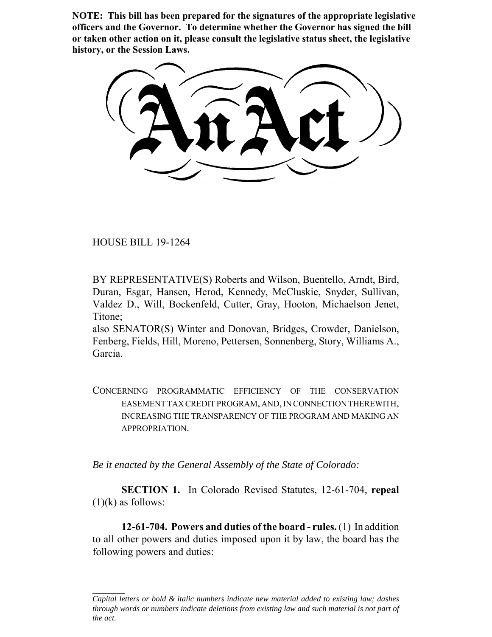**NOTE: This bill has been prepared for the signatures of the appropriate legislative officers and the Governor. To determine whether the Governor has signed the bill or taken other action on it, please consult the legislative status sheet, the legislative history, or the Session Laws.**

HOUSE BILL 19-1264

BY REPRESENTATIVE(S) Roberts and Wilson, Buentello, Arndt, Bird, Duran, Esgar, Hansen, Herod, Kennedy, McCluskie, Snyder, Sullivan, Valdez D., Will, Bockenfeld, Cutter, Gray, Hooton, Michaelson Jenet, Titone;

also SENATOR(S) Winter and Donovan, Bridges, Crowder, Danielson, Fenberg, Fields, Hill, Moreno, Pettersen, Sonnenberg, Story, Williams A., Garcia.

CONCERNING PROGRAMMATIC EFFICIENCY OF THE CONSERVATION EASEMENT TAX CREDIT PROGRAM, AND, IN CONNECTION THEREWITH, INCREASING THE TRANSPARENCY OF THE PROGRAM AND MAKING AN APPROPRIATION.

*Be it enacted by the General Assembly of the State of Colorado:*

**SECTION 1.** In Colorado Revised Statutes, 12-61-704, **repeal**  $(1)(k)$  as follows:

**12-61-704. Powers and duties of the board - rules.** (1) In addition to all other powers and duties imposed upon it by law, the board has the following powers and duties:

*Capital letters or bold & italic numbers indicate new material added to existing law; dashes through words or numbers indicate deletions from existing law and such material is not part of the act.*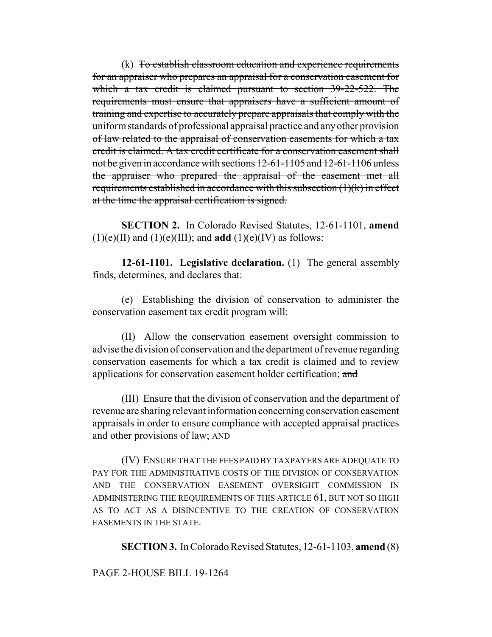(k) To establish classroom education and experience requirements for an appraiser who prepares an appraisal for a conservation easement for which a tax credit is claimed pursuant to section 39-22-522. The requirements must ensure that appraisers have a sufficient amount of training and expertise to accurately prepare appraisals that comply with the uniform standards of professional appraisal practice and any other provision of law related to the appraisal of conservation easements for which a tax credit is claimed. A tax credit certificate for a conservation easement shall not be given in accordance with sections 12-61-1105 and 12-61-1106 unless the appraiser who prepared the appraisal of the easement met all requirements established in accordance with this subsection (1)(k) in effect at the time the appraisal certification is signed.

**SECTION 2.** In Colorado Revised Statutes, 12-61-1101, **amend**  $(1)(e)(II)$  and  $(1)(e)(III)$ ; and **add**  $(1)(e)(IV)$  as follows:

**12-61-1101. Legislative declaration.** (1) The general assembly finds, determines, and declares that:

(e) Establishing the division of conservation to administer the conservation easement tax credit program will:

(II) Allow the conservation easement oversight commission to advise the division of conservation and the department of revenue regarding conservation easements for which a tax credit is claimed and to review applications for conservation easement holder certification; and

(III) Ensure that the division of conservation and the department of revenue are sharing relevant information concerning conservation easement appraisals in order to ensure compliance with accepted appraisal practices and other provisions of law; AND

(IV) ENSURE THAT THE FEES PAID BY TAXPAYERS ARE ADEQUATE TO PAY FOR THE ADMINISTRATIVE COSTS OF THE DIVISION OF CONSERVATION AND THE CONSERVATION EASEMENT OVERSIGHT COMMISSION IN ADMINISTERING THE REQUIREMENTS OF THIS ARTICLE 61, BUT NOT SO HIGH AS TO ACT AS A DISINCENTIVE TO THE CREATION OF CONSERVATION EASEMENTS IN THE STATE.

**SECTION 3.** In Colorado Revised Statutes, 12-61-1103, **amend** (8)

# PAGE 2-HOUSE BILL 19-1264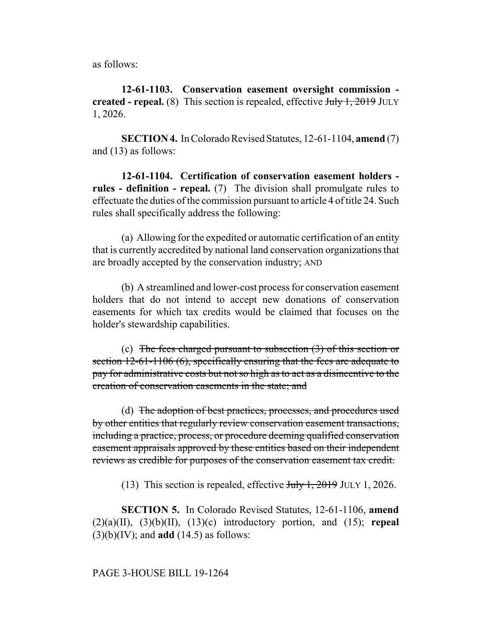as follows:

**12-61-1103. Conservation easement oversight commission created - repeal.** (8) This section is repealed, effective July 1, 2019 JULY 1, 2026.

**SECTION 4.** In Colorado Revised Statutes, 12-61-1104, **amend** (7) and (13) as follows:

**12-61-1104. Certification of conservation easement holders rules - definition - repeal.** (7) The division shall promulgate rules to effectuate the duties of the commission pursuant to article 4 of title 24. Such rules shall specifically address the following:

(a) Allowing for the expedited or automatic certification of an entity that is currently accredited by national land conservation organizations that are broadly accepted by the conservation industry; AND

(b) A streamlined and lower-cost process for conservation easement holders that do not intend to accept new donations of conservation easements for which tax credits would be claimed that focuses on the holder's stewardship capabilities.

(c) The fees charged pursuant to subsection  $(3)$  of this section or section 12-61-1106 (6), specifically ensuring that the fees are adequate to pay for administrative costs but not so high as to act as a disincentive to the creation of conservation easements in the state; and

(d) The adoption of best practices, processes, and procedures used by other entities that regularly review conservation easement transactions, including a practice, process, or procedure deeming qualified conservation easement appraisals approved by these entities based on their independent reviews as credible for purposes of the conservation easement tax credit.

(13) This section is repealed, effective  $J_{\text{t}}/J_{\text{t}}$ , 2019 JULY 1, 2026.

**SECTION 5.** In Colorado Revised Statutes, 12-61-1106, **amend**  $(2)(a)(II)$ ,  $(3)(b)(II)$ ,  $(13)(c)$  introductory portion, and  $(15)$ ; **repeal** (3)(b)(IV); and **add** (14.5) as follows: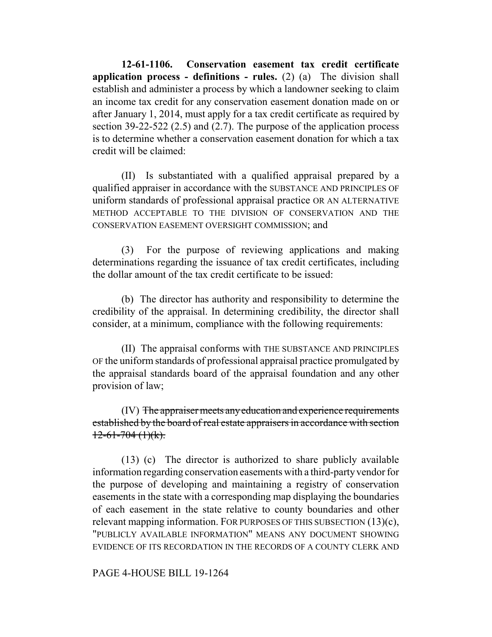**12-61-1106. Conservation easement tax credit certificate application process - definitions - rules.** (2) (a) The division shall establish and administer a process by which a landowner seeking to claim an income tax credit for any conservation easement donation made on or after January 1, 2014, must apply for a tax credit certificate as required by section 39-22-522 (2.5) and (2.7). The purpose of the application process is to determine whether a conservation easement donation for which a tax credit will be claimed:

(II) Is substantiated with a qualified appraisal prepared by a qualified appraiser in accordance with the SUBSTANCE AND PRINCIPLES OF uniform standards of professional appraisal practice OR AN ALTERNATIVE METHOD ACCEPTABLE TO THE DIVISION OF CONSERVATION AND THE CONSERVATION EASEMENT OVERSIGHT COMMISSION; and

(3) For the purpose of reviewing applications and making determinations regarding the issuance of tax credit certificates, including the dollar amount of the tax credit certificate to be issued:

(b) The director has authority and responsibility to determine the credibility of the appraisal. In determining credibility, the director shall consider, at a minimum, compliance with the following requirements:

(II) The appraisal conforms with THE SUBSTANCE AND PRINCIPLES OF the uniform standards of professional appraisal practice promulgated by the appraisal standards board of the appraisal foundation and any other provision of law;

(IV) The appraiser meets any education and experience requirements established by the board of real estate appraisers in accordance with section  $12-61-704(1)(k)$ .

(13) (c) The director is authorized to share publicly available information regarding conservation easements with a third-party vendor for the purpose of developing and maintaining a registry of conservation easements in the state with a corresponding map displaying the boundaries of each easement in the state relative to county boundaries and other relevant mapping information. FOR PURPOSES OF THIS SUBSECTION (13)(c), "PUBLICLY AVAILABLE INFORMATION" MEANS ANY DOCUMENT SHOWING EVIDENCE OF ITS RECORDATION IN THE RECORDS OF A COUNTY CLERK AND

#### PAGE 4-HOUSE BILL 19-1264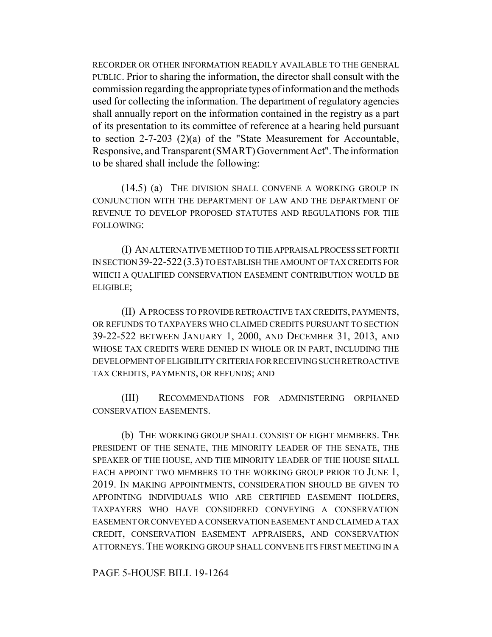RECORDER OR OTHER INFORMATION READILY AVAILABLE TO THE GENERAL PUBLIC. Prior to sharing the information, the director shall consult with the commission regarding the appropriate types of information and the methods used for collecting the information. The department of regulatory agencies shall annually report on the information contained in the registry as a part of its presentation to its committee of reference at a hearing held pursuant to section 2-7-203 (2)(a) of the "State Measurement for Accountable, Responsive, and Transparent (SMART) Government Act". The information to be shared shall include the following:

(14.5) (a) THE DIVISION SHALL CONVENE A WORKING GROUP IN CONJUNCTION WITH THE DEPARTMENT OF LAW AND THE DEPARTMENT OF REVENUE TO DEVELOP PROPOSED STATUTES AND REGULATIONS FOR THE FOLLOWING:

(I) AN ALTERNATIVE METHOD TO THE APPRAISAL PROCESS SET FORTH IN SECTION 39-22-522(3.3) TO ESTABLISH THE AMOUNT OF TAX CREDITS FOR WHICH A QUALIFIED CONSERVATION EASEMENT CONTRIBUTION WOULD BE ELIGIBLE;

(II) A PROCESS TO PROVIDE RETROACTIVE TAX CREDITS, PAYMENTS, OR REFUNDS TO TAXPAYERS WHO CLAIMED CREDITS PURSUANT TO SECTION 39-22-522 BETWEEN JANUARY 1, 2000, AND DECEMBER 31, 2013, AND WHOSE TAX CREDITS WERE DENIED IN WHOLE OR IN PART, INCLUDING THE DEVELOPMENT OF ELIGIBILITY CRITERIA FOR RECEIVING SUCH RETROACTIVE TAX CREDITS, PAYMENTS, OR REFUNDS; AND

(III) RECOMMENDATIONS FOR ADMINISTERING ORPHANED CONSERVATION EASEMENTS.

(b) THE WORKING GROUP SHALL CONSIST OF EIGHT MEMBERS. THE PRESIDENT OF THE SENATE, THE MINORITY LEADER OF THE SENATE, THE SPEAKER OF THE HOUSE, AND THE MINORITY LEADER OF THE HOUSE SHALL EACH APPOINT TWO MEMBERS TO THE WORKING GROUP PRIOR TO JUNE 1, 2019. IN MAKING APPOINTMENTS, CONSIDERATION SHOULD BE GIVEN TO APPOINTING INDIVIDUALS WHO ARE CERTIFIED EASEMENT HOLDERS, TAXPAYERS WHO HAVE CONSIDERED CONVEYING A CONSERVATION EASEMENT OR CONVEYED A CONSERVATION EASEMENT AND CLAIMED A TAX CREDIT, CONSERVATION EASEMENT APPRAISERS, AND CONSERVATION ATTORNEYS. THE WORKING GROUP SHALL CONVENE ITS FIRST MEETING IN A

PAGE 5-HOUSE BILL 19-1264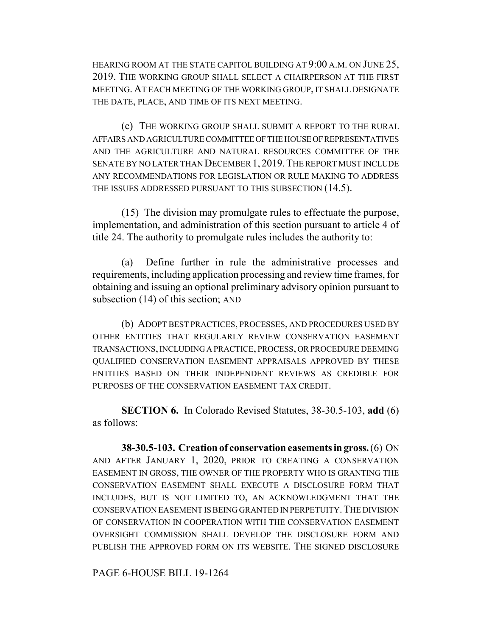HEARING ROOM AT THE STATE CAPITOL BUILDING AT 9:00 A.M. ON JUNE 25, 2019. THE WORKING GROUP SHALL SELECT A CHAIRPERSON AT THE FIRST MEETING. AT EACH MEETING OF THE WORKING GROUP, IT SHALL DESIGNATE THE DATE, PLACE, AND TIME OF ITS NEXT MEETING.

(c) THE WORKING GROUP SHALL SUBMIT A REPORT TO THE RURAL AFFAIRS AND AGRICULTURE COMMITTEE OF THE HOUSE OF REPRESENTATIVES AND THE AGRICULTURE AND NATURAL RESOURCES COMMITTEE OF THE SENATE BY NO LATER THAN DECEMBER 1, 2019. THE REPORT MUST INCLUDE ANY RECOMMENDATIONS FOR LEGISLATION OR RULE MAKING TO ADDRESS THE ISSUES ADDRESSED PURSUANT TO THIS SUBSECTION (14.5).

(15) The division may promulgate rules to effectuate the purpose, implementation, and administration of this section pursuant to article 4 of title 24. The authority to promulgate rules includes the authority to:

(a) Define further in rule the administrative processes and requirements, including application processing and review time frames, for obtaining and issuing an optional preliminary advisory opinion pursuant to subsection (14) of this section; AND

(b) ADOPT BEST PRACTICES, PROCESSES, AND PROCEDURES USED BY OTHER ENTITIES THAT REGULARLY REVIEW CONSERVATION EASEMENT TRANSACTIONS, INCLUDING A PRACTICE, PROCESS, OR PROCEDURE DEEMING QUALIFIED CONSERVATION EASEMENT APPRAISALS APPROVED BY THESE ENTITIES BASED ON THEIR INDEPENDENT REVIEWS AS CREDIBLE FOR PURPOSES OF THE CONSERVATION EASEMENT TAX CREDIT.

**SECTION 6.** In Colorado Revised Statutes, 38-30.5-103, **add** (6) as follows:

**38-30.5-103. Creation of conservation easements in gross.** (6) ON AND AFTER JANUARY 1, 2020, PRIOR TO CREATING A CONSERVATION EASEMENT IN GROSS, THE OWNER OF THE PROPERTY WHO IS GRANTING THE CONSERVATION EASEMENT SHALL EXECUTE A DISCLOSURE FORM THAT INCLUDES, BUT IS NOT LIMITED TO, AN ACKNOWLEDGMENT THAT THE CONSERVATION EASEMENT IS BEING GRANTED IN PERPETUITY.THE DIVISION OF CONSERVATION IN COOPERATION WITH THE CONSERVATION EASEMENT OVERSIGHT COMMISSION SHALL DEVELOP THE DISCLOSURE FORM AND PUBLISH THE APPROVED FORM ON ITS WEBSITE. THE SIGNED DISCLOSURE

PAGE 6-HOUSE BILL 19-1264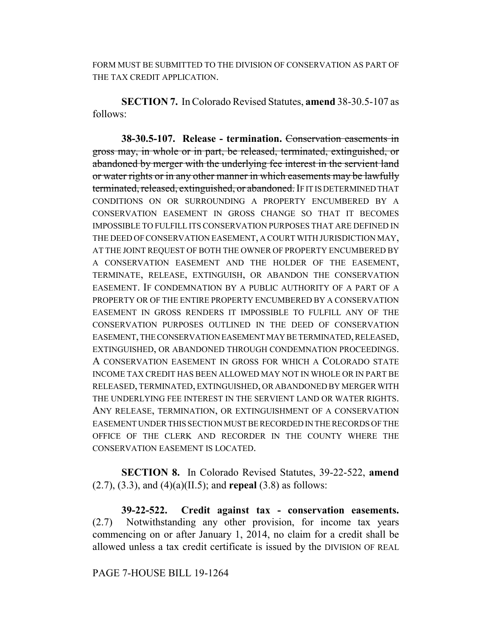FORM MUST BE SUBMITTED TO THE DIVISION OF CONSERVATION AS PART OF THE TAX CREDIT APPLICATION.

**SECTION 7.** In Colorado Revised Statutes, **amend** 38-30.5-107 as follows:

**38-30.5-107. Release - termination.** Conservation easements in gross may, in whole or in part, be released, terminated, extinguished, or abandoned by merger with the underlying fee interest in the servient land or water rights or in any other manner in which easements may be lawfully terminated, released, extinguished, or abandoned. IF IT IS DETERMINED THAT CONDITIONS ON OR SURROUNDING A PROPERTY ENCUMBERED BY A CONSERVATION EASEMENT IN GROSS CHANGE SO THAT IT BECOMES IMPOSSIBLE TO FULFILL ITS CONSERVATION PURPOSES THAT ARE DEFINED IN THE DEED OF CONSERVATION EASEMENT, A COURT WITH JURISDICTION MAY, AT THE JOINT REQUEST OF BOTH THE OWNER OF PROPERTY ENCUMBERED BY A CONSERVATION EASEMENT AND THE HOLDER OF THE EASEMENT, TERMINATE, RELEASE, EXTINGUISH, OR ABANDON THE CONSERVATION EASEMENT. IF CONDEMNATION BY A PUBLIC AUTHORITY OF A PART OF A PROPERTY OR OF THE ENTIRE PROPERTY ENCUMBERED BY A CONSERVATION EASEMENT IN GROSS RENDERS IT IMPOSSIBLE TO FULFILL ANY OF THE CONSERVATION PURPOSES OUTLINED IN THE DEED OF CONSERVATION EASEMENT, THE CONSERVATION EASEMENT MAY BE TERMINATED, RELEASED, EXTINGUISHED, OR ABANDONED THROUGH CONDEMNATION PROCEEDINGS. A CONSERVATION EASEMENT IN GROSS FOR WHICH A COLORADO STATE INCOME TAX CREDIT HAS BEEN ALLOWED MAY NOT IN WHOLE OR IN PART BE RELEASED, TERMINATED, EXTINGUISHED, OR ABANDONED BY MERGER WITH THE UNDERLYING FEE INTEREST IN THE SERVIENT LAND OR WATER RIGHTS. ANY RELEASE, TERMINATION, OR EXTINGUISHMENT OF A CONSERVATION EASEMENT UNDER THIS SECTION MUST BE RECORDED IN THE RECORDS OF THE OFFICE OF THE CLERK AND RECORDER IN THE COUNTY WHERE THE CONSERVATION EASEMENT IS LOCATED.

**SECTION 8.** In Colorado Revised Statutes, 39-22-522, **amend** (2.7), (3.3), and (4)(a)(II.5); and **repeal** (3.8) as follows:

**39-22-522. Credit against tax - conservation easements.** (2.7) Notwithstanding any other provision, for income tax years commencing on or after January 1, 2014, no claim for a credit shall be allowed unless a tax credit certificate is issued by the DIVISION OF REAL

## PAGE 7-HOUSE BILL 19-1264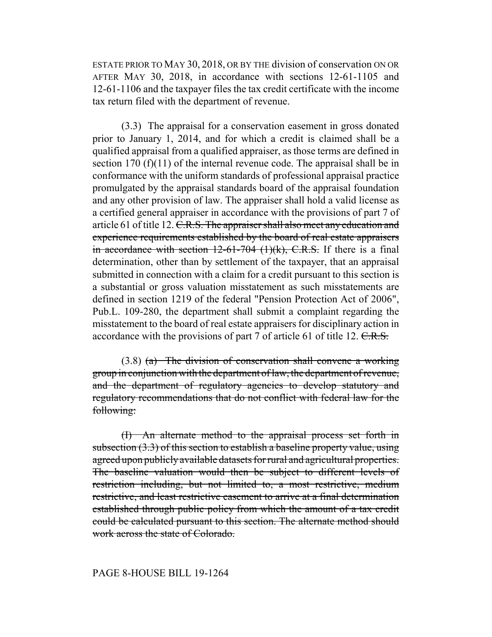ESTATE PRIOR TO MAY 30, 2018, OR BY THE division of conservation ON OR AFTER MAY 30, 2018, in accordance with sections 12-61-1105 and 12-61-1106 and the taxpayer files the tax credit certificate with the income tax return filed with the department of revenue.

(3.3) The appraisal for a conservation easement in gross donated prior to January 1, 2014, and for which a credit is claimed shall be a qualified appraisal from a qualified appraiser, as those terms are defined in section 170  $(f)(11)$  of the internal revenue code. The appraisal shall be in conformance with the uniform standards of professional appraisal practice promulgated by the appraisal standards board of the appraisal foundation and any other provision of law. The appraiser shall hold a valid license as a certified general appraiser in accordance with the provisions of part 7 of article 61 of title 12. C.R.S. The appraiser shall also meet any education and experience requirements established by the board of real estate appraisers in accordance with section  $12-61-704$  (1)(k), C.R.S. If there is a final determination, other than by settlement of the taxpayer, that an appraisal submitted in connection with a claim for a credit pursuant to this section is a substantial or gross valuation misstatement as such misstatements are defined in section 1219 of the federal "Pension Protection Act of 2006", Pub.L. 109-280, the department shall submit a complaint regarding the misstatement to the board of real estate appraisers for disciplinary action in accordance with the provisions of part 7 of article 61 of title 12.  $C.R.S.$ 

 $(3.8)$  (a) The division of conservation shall convene a working group in conjunction with the department of law, the department of revenue, and the department of regulatory agencies to develop statutory and regulatory recommendations that do not conflict with federal law for the following:

(I) An alternate method to the appraisal process set forth in subsection (3.3) of this section to establish a baseline property value, using agreed upon publicly available datasets for rural and agricultural properties. The baseline valuation would then be subject to different levels of restriction including, but not limited to, a most restrictive, medium restrictive, and least restrictive easement to arrive at a final determination established through public policy from which the amount of a tax credit could be calculated pursuant to this section. The alternate method should work across the state of Colorado.

## PAGE 8-HOUSE BILL 19-1264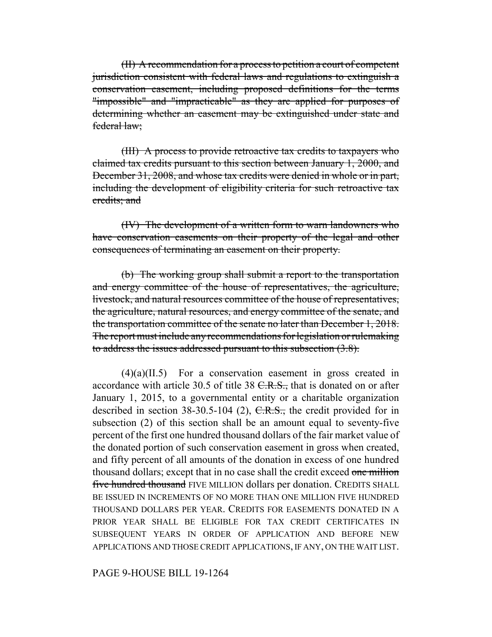(II) A recommendation for a process to petition a court of competent jurisdiction consistent with federal laws and regulations to extinguish a conservation easement, including proposed definitions for the terms "impossible" and "impracticable" as they are applied for purposes of determining whether an easement may be extinguished under state and federal law;

(III) A process to provide retroactive tax credits to taxpayers who claimed tax credits pursuant to this section between January 1, 2000, and December 31, 2008, and whose tax credits were denied in whole or in part, including the development of eligibility criteria for such retroactive tax credits; and

(IV) The development of a written form to warn landowners who have conservation easements on their property of the legal and other consequences of terminating an easement on their property.

(b) The working group shall submit a report to the transportation and energy committee of the house of representatives, the agriculture, livestock, and natural resources committee of the house of representatives, the agriculture, natural resources, and energy committee of the senate, and the transportation committee of the senate no later than December 1, 2018. The report must include any recommendations for legislation or rulemaking to address the issues addressed pursuant to this subsection (3.8).

(4)(a)(II.5) For a conservation easement in gross created in accordance with article 30.5 of title 38  $C.R.S.,$  that is donated on or after January 1, 2015, to a governmental entity or a charitable organization described in section  $38-30.5-104$  (2),  $C.R.S.,$  the credit provided for in subsection (2) of this section shall be an amount equal to seventy-five percent of the first one hundred thousand dollars of the fair market value of the donated portion of such conservation easement in gross when created, and fifty percent of all amounts of the donation in excess of one hundred thousand dollars; except that in no case shall the credit exceed one million five hundred thousand FIVE MILLION dollars per donation. CREDITS SHALL BE ISSUED IN INCREMENTS OF NO MORE THAN ONE MILLION FIVE HUNDRED THOUSAND DOLLARS PER YEAR. CREDITS FOR EASEMENTS DONATED IN A PRIOR YEAR SHALL BE ELIGIBLE FOR TAX CREDIT CERTIFICATES IN SUBSEQUENT YEARS IN ORDER OF APPLICATION AND BEFORE NEW APPLICATIONS AND THOSE CREDIT APPLICATIONS, IF ANY, ON THE WAIT LIST.

PAGE 9-HOUSE BILL 19-1264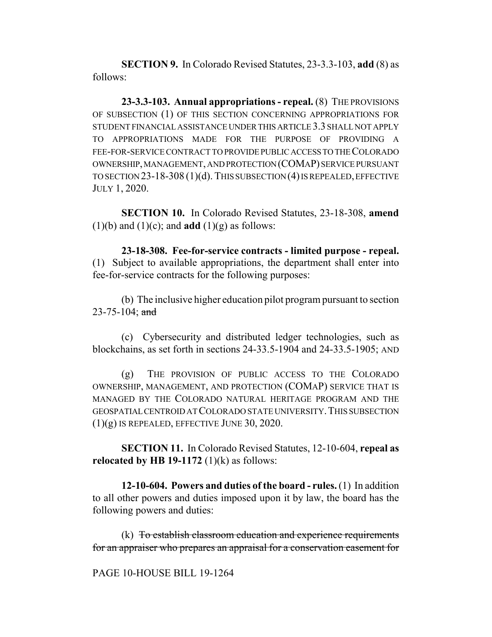**SECTION 9.** In Colorado Revised Statutes, 23-3.3-103, **add** (8) as follows:

**23-3.3-103. Annual appropriations - repeal.** (8) THE PROVISIONS OF SUBSECTION (1) OF THIS SECTION CONCERNING APPROPRIATIONS FOR STUDENT FINANCIAL ASSISTANCE UNDER THIS ARTICLE 3.3 SHALL NOT APPLY TO APPROPRIATIONS MADE FOR THE PURPOSE OF PROVIDING A FEE-FOR-SERVICE CONTRACT TO PROVIDE PUBLIC ACCESS TO THE COLORADO OWNERSHIP, MANAGEMENT, AND PROTECTION (COMAP) SERVICE PURSUANT TO SECTION 23-18-308 (1)(d). THIS SUBSECTION (4) IS REPEALED, EFFECTIVE JULY 1, 2020.

**SECTION 10.** In Colorado Revised Statutes, 23-18-308, **amend**  $(1)(b)$  and  $(1)(c)$ ; and **add**  $(1)(g)$  as follows:

**23-18-308. Fee-for-service contracts - limited purpose - repeal.** (1) Subject to available appropriations, the department shall enter into fee-for-service contracts for the following purposes:

(b) The inclusive higher education pilot program pursuant to section  $23 - 75 - 104$ ; and

(c) Cybersecurity and distributed ledger technologies, such as blockchains, as set forth in sections 24-33.5-1904 and 24-33.5-1905; AND

(g) THE PROVISION OF PUBLIC ACCESS TO THE COLORADO OWNERSHIP, MANAGEMENT, AND PROTECTION (COMAP) SERVICE THAT IS MANAGED BY THE COLORADO NATURAL HERITAGE PROGRAM AND THE GEOSPATIAL CENTROID AT COLORADO STATE UNIVERSITY.THIS SUBSECTION (1)(g) IS REPEALED, EFFECTIVE JUNE 30, 2020.

**SECTION 11.** In Colorado Revised Statutes, 12-10-604, **repeal as relocated by HB 19-1172**  $(1)(k)$  as follows:

**12-10-604. Powers and duties of the board - rules.** (1) In addition to all other powers and duties imposed upon it by law, the board has the following powers and duties:

(k) To establish classroom education and experience requirements for an appraiser who prepares an appraisal for a conservation easement for

#### PAGE 10-HOUSE BILL 19-1264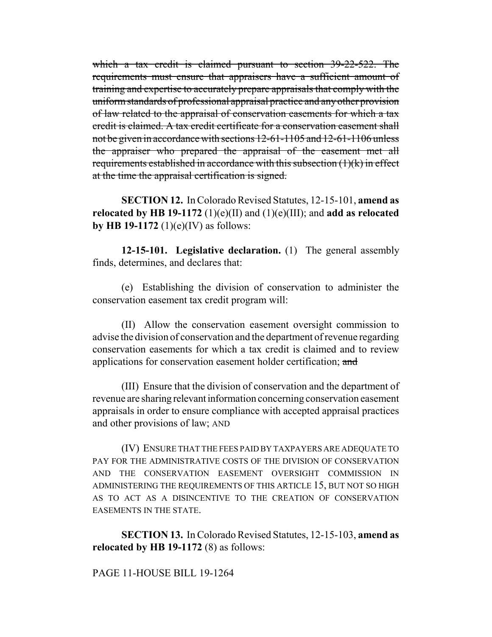which a tax credit is claimed pursuant to section 39-22-522. The requirements must ensure that appraisers have a sufficient amount of training and expertise to accurately prepare appraisals that comply with the uniform standards of professional appraisal practice and any other provision of law related to the appraisal of conservation easements for which a tax credit is claimed. A tax credit certificate for a conservation easement shall not be given in accordance with sections 12-61-1105 and 12-61-1106 unless the appraiser who prepared the appraisal of the easement met all requirements established in accordance with this subsection  $(1)(k)$  in effect at the time the appraisal certification is signed.

**SECTION 12.** In Colorado Revised Statutes, 12-15-101, **amend as relocated by HB 19-1172** (1)(e)(II) and (1)(e)(III); and **add as relocated by HB 19-1172** (1)(e)(IV) as follows:

**12-15-101. Legislative declaration.** (1) The general assembly finds, determines, and declares that:

(e) Establishing the division of conservation to administer the conservation easement tax credit program will:

(II) Allow the conservation easement oversight commission to advise the division of conservation and the department of revenue regarding conservation easements for which a tax credit is claimed and to review applications for conservation easement holder certification; and

(III) Ensure that the division of conservation and the department of revenue are sharing relevant information concerning conservation easement appraisals in order to ensure compliance with accepted appraisal practices and other provisions of law; AND

(IV) ENSURE THAT THE FEES PAID BY TAXPAYERS ARE ADEQUATE TO PAY FOR THE ADMINISTRATIVE COSTS OF THE DIVISION OF CONSERVATION AND THE CONSERVATION EASEMENT OVERSIGHT COMMISSION IN ADMINISTERING THE REQUIREMENTS OF THIS ARTICLE 15, BUT NOT SO HIGH AS TO ACT AS A DISINCENTIVE TO THE CREATION OF CONSERVATION EASEMENTS IN THE STATE.

**SECTION 13.** In Colorado Revised Statutes, 12-15-103, **amend as relocated by HB 19-1172** (8) as follows:

PAGE 11-HOUSE BILL 19-1264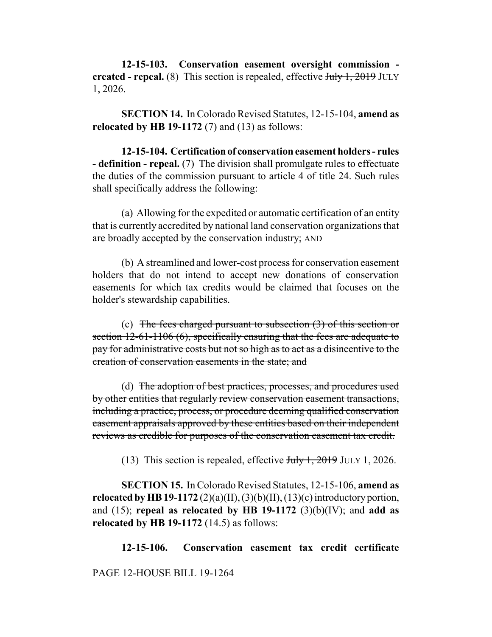**12-15-103. Conservation easement oversight commission created - repeal.** (8) This section is repealed, effective July 1, 2019 JULY 1, 2026.

**SECTION 14.** In Colorado Revised Statutes, 12-15-104, **amend as relocated by HB 19-1172** (7) and (13) as follows:

**12-15-104. Certification of conservation easement holders - rules - definition - repeal.** (7) The division shall promulgate rules to effectuate the duties of the commission pursuant to article 4 of title 24. Such rules shall specifically address the following:

(a) Allowing for the expedited or automatic certification of an entity that is currently accredited by national land conservation organizations that are broadly accepted by the conservation industry; AND

(b) A streamlined and lower-cost process for conservation easement holders that do not intend to accept new donations of conservation easements for which tax credits would be claimed that focuses on the holder's stewardship capabilities.

(c) The fees charged pursuant to subsection  $(3)$  of this section or section 12-61-1106 (6), specifically ensuring that the fees are adequate to pay for administrative costs but not so high as to act as a disincentive to the creation of conservation easements in the state; and

(d) The adoption of best practices, processes, and procedures used by other entities that regularly review conservation easement transactions, including a practice, process, or procedure deeming qualified conservation easement appraisals approved by these entities based on their independent reviews as credible for purposes of the conservation easement tax credit.

(13) This section is repealed, effective  $J_{\text{t}}/J_{\text{t}}$ , 2019 JULY 1, 2026.

**SECTION 15.** In Colorado Revised Statutes, 12-15-106, **amend as relocated by HB 19-1172** (2)(a)(II), (3)(b)(II), (13)(c) introductory portion, and (15); **repeal as relocated by HB 19-1172** (3)(b)(IV); and **add as relocated by HB 19-1172** (14.5) as follows:

**12-15-106. Conservation easement tax credit certificate**

PAGE 12-HOUSE BILL 19-1264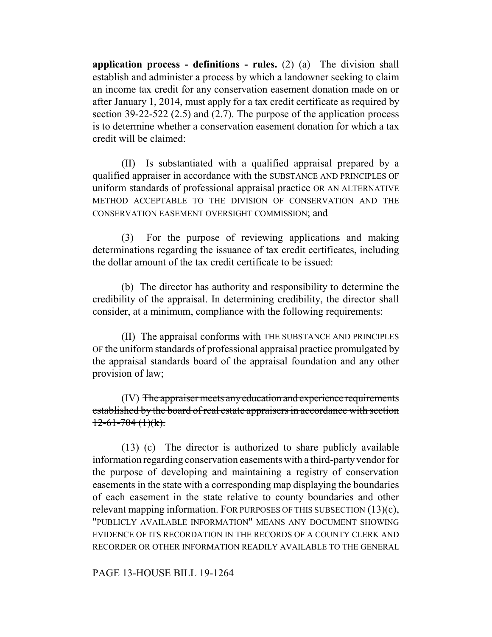**application process - definitions - rules.** (2) (a) The division shall establish and administer a process by which a landowner seeking to claim an income tax credit for any conservation easement donation made on or after January 1, 2014, must apply for a tax credit certificate as required by section 39-22-522 (2.5) and (2.7). The purpose of the application process is to determine whether a conservation easement donation for which a tax credit will be claimed:

(II) Is substantiated with a qualified appraisal prepared by a qualified appraiser in accordance with the SUBSTANCE AND PRINCIPLES OF uniform standards of professional appraisal practice OR AN ALTERNATIVE METHOD ACCEPTABLE TO THE DIVISION OF CONSERVATION AND THE CONSERVATION EASEMENT OVERSIGHT COMMISSION; and

(3) For the purpose of reviewing applications and making determinations regarding the issuance of tax credit certificates, including the dollar amount of the tax credit certificate to be issued:

(b) The director has authority and responsibility to determine the credibility of the appraisal. In determining credibility, the director shall consider, at a minimum, compliance with the following requirements:

(II) The appraisal conforms with THE SUBSTANCE AND PRINCIPLES OF the uniform standards of professional appraisal practice promulgated by the appraisal standards board of the appraisal foundation and any other provision of law;

(IV) The appraiser meets any education and experience requirements established by the board of real estate appraisers in accordance with section  $12-61-704$  (1)(k).

(13) (c) The director is authorized to share publicly available information regarding conservation easements with a third-party vendor for the purpose of developing and maintaining a registry of conservation easements in the state with a corresponding map displaying the boundaries of each easement in the state relative to county boundaries and other relevant mapping information. FOR PURPOSES OF THIS SUBSECTION (13)(c), "PUBLICLY AVAILABLE INFORMATION" MEANS ANY DOCUMENT SHOWING EVIDENCE OF ITS RECORDATION IN THE RECORDS OF A COUNTY CLERK AND RECORDER OR OTHER INFORMATION READILY AVAILABLE TO THE GENERAL

PAGE 13-HOUSE BILL 19-1264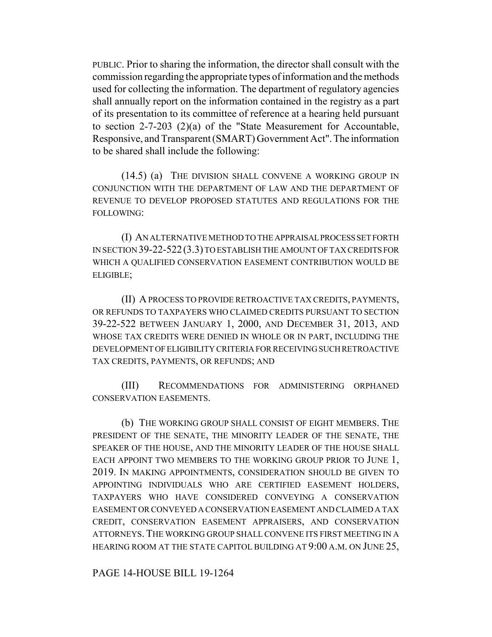PUBLIC. Prior to sharing the information, the director shall consult with the commission regarding the appropriate types of information and the methods used for collecting the information. The department of regulatory agencies shall annually report on the information contained in the registry as a part of its presentation to its committee of reference at a hearing held pursuant to section 2-7-203 (2)(a) of the "State Measurement for Accountable, Responsive, and Transparent (SMART) Government Act". The information to be shared shall include the following:

(14.5) (a) THE DIVISION SHALL CONVENE A WORKING GROUP IN CONJUNCTION WITH THE DEPARTMENT OF LAW AND THE DEPARTMENT OF REVENUE TO DEVELOP PROPOSED STATUTES AND REGULATIONS FOR THE FOLLOWING:

(I) AN ALTERNATIVE METHOD TO THE APPRAISAL PROCESS SET FORTH IN SECTION 39-22-522(3.3) TO ESTABLISH THE AMOUNT OF TAX CREDITS FOR WHICH A QUALIFIED CONSERVATION EASEMENT CONTRIBUTION WOULD BE ELIGIBLE;

(II) A PROCESS TO PROVIDE RETROACTIVE TAX CREDITS, PAYMENTS, OR REFUNDS TO TAXPAYERS WHO CLAIMED CREDITS PURSUANT TO SECTION 39-22-522 BETWEEN JANUARY 1, 2000, AND DECEMBER 31, 2013, AND WHOSE TAX CREDITS WERE DENIED IN WHOLE OR IN PART, INCLUDING THE DEVELOPMENT OF ELIGIBILITY CRITERIA FOR RECEIVING SUCH RETROACTIVE TAX CREDITS, PAYMENTS, OR REFUNDS; AND

(III) RECOMMENDATIONS FOR ADMINISTERING ORPHANED CONSERVATION EASEMENTS.

(b) THE WORKING GROUP SHALL CONSIST OF EIGHT MEMBERS. THE PRESIDENT OF THE SENATE, THE MINORITY LEADER OF THE SENATE, THE SPEAKER OF THE HOUSE, AND THE MINORITY LEADER OF THE HOUSE SHALL EACH APPOINT TWO MEMBERS TO THE WORKING GROUP PRIOR TO JUNE 1, 2019. IN MAKING APPOINTMENTS, CONSIDERATION SHOULD BE GIVEN TO APPOINTING INDIVIDUALS WHO ARE CERTIFIED EASEMENT HOLDERS, TAXPAYERS WHO HAVE CONSIDERED CONVEYING A CONSERVATION EASEMENT OR CONVEYED A CONSERVATION EASEMENT AND CLAIMED A TAX CREDIT, CONSERVATION EASEMENT APPRAISERS, AND CONSERVATION ATTORNEYS. THE WORKING GROUP SHALL CONVENE ITS FIRST MEETING IN A HEARING ROOM AT THE STATE CAPITOL BUILDING AT 9:00 A.M. ON JUNE 25,

PAGE 14-HOUSE BILL 19-1264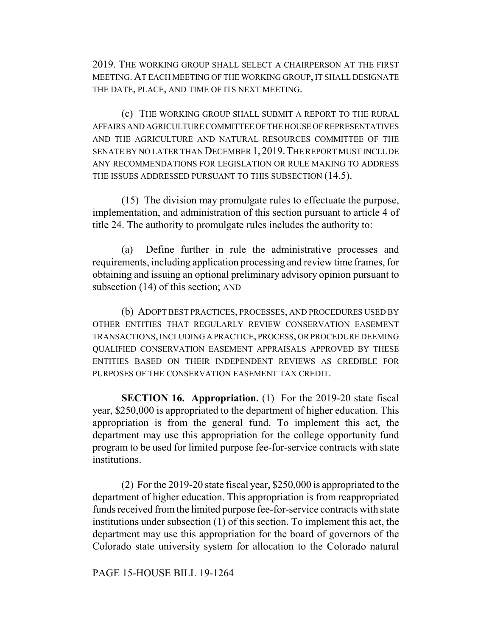2019. THE WORKING GROUP SHALL SELECT A CHAIRPERSON AT THE FIRST MEETING. AT EACH MEETING OF THE WORKING GROUP, IT SHALL DESIGNATE THE DATE, PLACE, AND TIME OF ITS NEXT MEETING.

(c) THE WORKING GROUP SHALL SUBMIT A REPORT TO THE RURAL AFFAIRS AND AGRICULTURE COMMITTEE OF THE HOUSE OF REPRESENTATIVES AND THE AGRICULTURE AND NATURAL RESOURCES COMMITTEE OF THE SENATE BY NO LATER THAN DECEMBER 1, 2019.THE REPORT MUST INCLUDE ANY RECOMMENDATIONS FOR LEGISLATION OR RULE MAKING TO ADDRESS THE ISSUES ADDRESSED PURSUANT TO THIS SUBSECTION (14.5).

(15) The division may promulgate rules to effectuate the purpose, implementation, and administration of this section pursuant to article 4 of title 24. The authority to promulgate rules includes the authority to:

(a) Define further in rule the administrative processes and requirements, including application processing and review time frames, for obtaining and issuing an optional preliminary advisory opinion pursuant to subsection (14) of this section; AND

(b) ADOPT BEST PRACTICES, PROCESSES, AND PROCEDURES USED BY OTHER ENTITIES THAT REGULARLY REVIEW CONSERVATION EASEMENT TRANSACTIONS, INCLUDING A PRACTICE, PROCESS, OR PROCEDURE DEEMING QUALIFIED CONSERVATION EASEMENT APPRAISALS APPROVED BY THESE ENTITIES BASED ON THEIR INDEPENDENT REVIEWS AS CREDIBLE FOR PURPOSES OF THE CONSERVATION EASEMENT TAX CREDIT.

**SECTION 16. Appropriation.** (1) For the 2019-20 state fiscal year, \$250,000 is appropriated to the department of higher education. This appropriation is from the general fund. To implement this act, the department may use this appropriation for the college opportunity fund program to be used for limited purpose fee-for-service contracts with state institutions.

(2) For the 2019-20 state fiscal year, \$250,000 is appropriated to the department of higher education. This appropriation is from reappropriated funds received from the limited purpose fee-for-service contracts with state institutions under subsection (1) of this section. To implement this act, the department may use this appropriation for the board of governors of the Colorado state university system for allocation to the Colorado natural

PAGE 15-HOUSE BILL 19-1264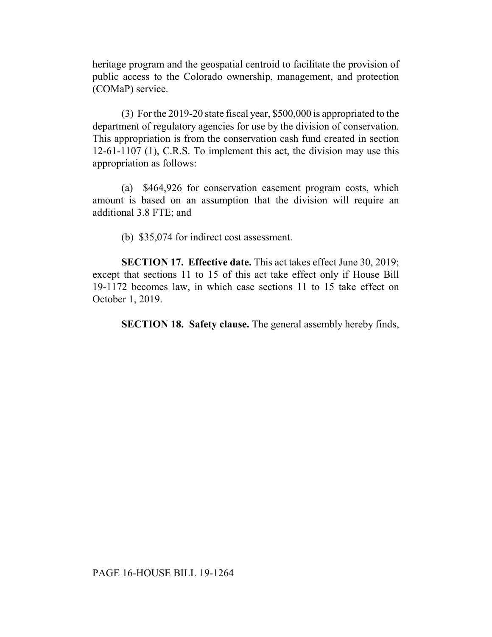heritage program and the geospatial centroid to facilitate the provision of public access to the Colorado ownership, management, and protection (COMaP) service.

(3) For the 2019-20 state fiscal year, \$500,000 is appropriated to the department of regulatory agencies for use by the division of conservation. This appropriation is from the conservation cash fund created in section 12-61-1107 (1), C.R.S. To implement this act, the division may use this appropriation as follows:

(a) \$464,926 for conservation easement program costs, which amount is based on an assumption that the division will require an additional 3.8 FTE; and

(b) \$35,074 for indirect cost assessment.

**SECTION 17. Effective date.** This act takes effect June 30, 2019; except that sections 11 to 15 of this act take effect only if House Bill 19-1172 becomes law, in which case sections 11 to 15 take effect on October 1, 2019.

**SECTION 18. Safety clause.** The general assembly hereby finds,